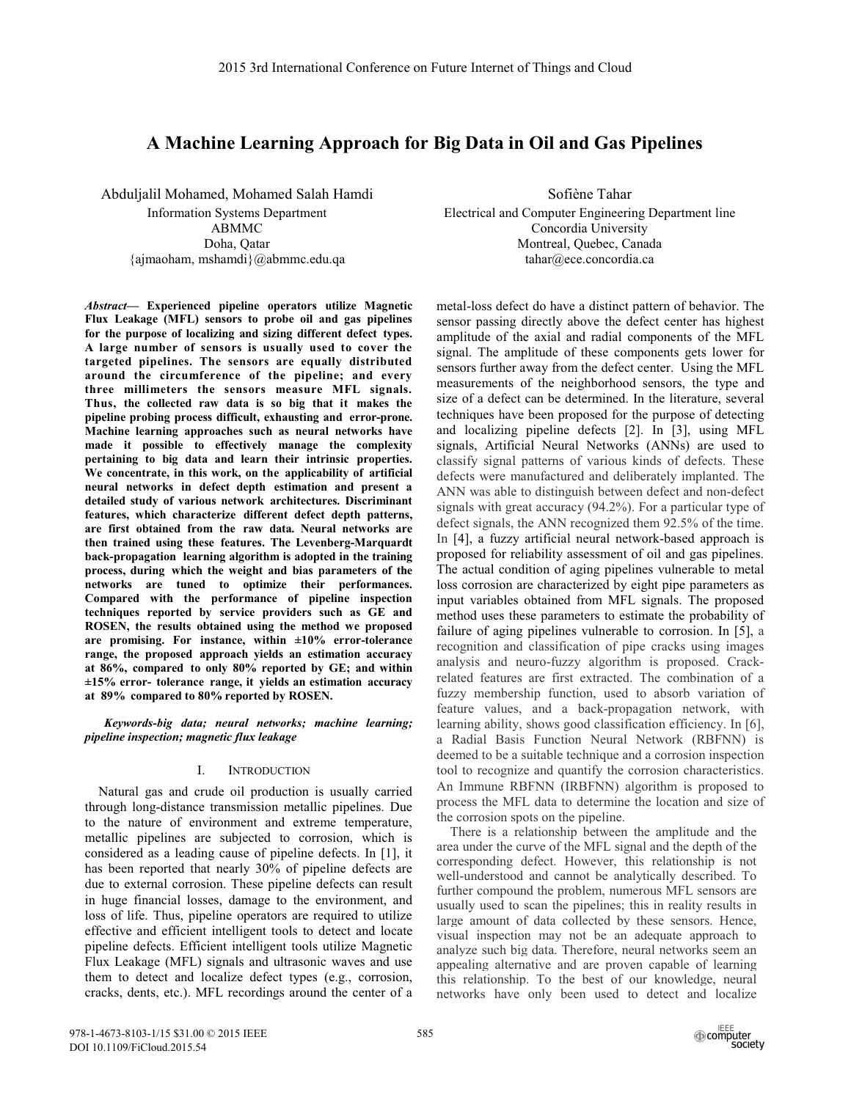# **A Machine Learning Approach for Big Data in Oil and Gas Pipelines**

Abduljalil Mohamed, Mohamed Salah Hamdi Information Systems Department ABMMC Doha, Qatar {ajmaoham, mshamdi}@abmmc.edu.qa

*Abstract***— Experienced pipeline operators utilize Magnetic Flux Leakage (MFL) sensors to probe oil and gas pipelines for the purpose of localizing and sizing different defect types. A large number of sensors is usually used to cover the targeted pipelines. The sensors are equally distributed around the circumference of the pipeline; and every three millimeters the sensors measure MFL signals. Thus, the collected raw data is so big that it makes the pipeline probing process difficult, exhausting and error-prone. Machine learning approaches such as neural networks have made it possible to effectively manage the complexity pertaining to big data and learn their intrinsic properties. We concentrate, in this work, on the applicability of artificial neural networks in defect depth estimation and present a detailed study of various network architectures. Discriminant features, which characterize different defect depth patterns, are first obtained from the raw data. Neural networks are then trained using these features. The Levenberg-Marquardt back-propagation learning algorithm is adopted in the training process, during which the weight and bias parameters of the networks are tuned to optimize their performances. Compared with the performance of pipeline inspection techniques reported by service providers such as GE and ROSEN, the results obtained using the method we proposed are promising. For instance, within ±10% error-tolerance range, the proposed approach yields an estimation accuracy at 86%, compared to only 80% reported by GE; and within ±15% error- tolerance range, it yields an estimation accuracy at 89% compared to 80% reported by ROSEN.** 

*Keywords-big data; neural networks; machine learning; pipeline inspection; magnetic flux leakage* 

### I. INTRODUCTION

Natural gas and crude oil production is usually carried through long-distance transmission metallic pipelines. Due to the nature of environment and extreme temperature, metallic pipelines are subjected to corrosion, which is considered as a leading cause of pipeline defects. In [1], it has been reported that nearly 30% of pipeline defects are due to external corrosion. These pipeline defects can result in huge financial losses, damage to the environment, and loss of life. Thus, pipeline operators are required to utilize effective and efficient intelligent tools to detect and locate pipeline defects. Efficient intelligent tools utilize Magnetic Flux Leakage (MFL) signals and ultrasonic waves and use them to detect and localize defect types (e.g., corrosion, cracks, dents, etc.). MFL recordings around the center of a Sofiène Tahar

Electrical and Computer Engineering Department line Concordia University Montreal, Quebec, Canada tahar@ece.concordia.ca

metal-loss defect do have a distinct pattern of behavior. The sensor passing directly above the defect center has highest amplitude of the axial and radial components of the MFL signal. The amplitude of these components gets lower for sensors further away from the defect center. Using the MFL measurements of the neighborhood sensors, the type and size of a defect can be determined. In the literature, several techniques have been proposed for the purpose of detecting and localizing pipeline defects [2]. In [3], using MFL signals, Artificial Neural Networks (ANNs) are used to classify signal patterns of various kinds of defects. These defects were manufactured and deliberately implanted. The ANN was able to distinguish between defect and non-defect signals with great accuracy (94.2%). For a particular type of defect signals, the ANN recognized them 92.5% of the time. In [4], a fuzzy artificial neural network-based approach is proposed for reliability assessment of oil and gas pipelines. The actual condition of aging pipelines vulnerable to metal loss corrosion are characterized by eight pipe parameters as input variables obtained from MFL signals. The proposed method uses these parameters to estimate the probability of failure of aging pipelines vulnerable to corrosion. In [5], a recognition and classification of pipe cracks using images analysis and neuro-fuzzy algorithm is proposed. Crackrelated features are first extracted. The combination of a fuzzy membership function, used to absorb variation of feature values, and a back-propagation network, with learning ability, shows good classification efficiency. In [6], a Radial Basis Function Neural Network (RBFNN) is deemed to be a suitable technique and a corrosion inspection tool to recognize and quantify the corrosion characteristics. An Immune RBFNN (IRBFNN) algorithm is proposed to process the MFL data to determine the location and size of the corrosion spots on the pipeline.

There is a relationship between the amplitude and the area under the curve of the MFL signal and the depth of the corresponding defect. However, this relationship is not well-understood and cannot be analytically described. To further compound the problem, numerous MFL sensors are usually used to scan the pipelines; this in reality results in large amount of data collected by these sensors. Hence, visual inspection may not be an adequate approach to analyze such big data. Therefore, neural networks seem an appealing alternative and are proven capable of learning this relationship. To the best of our knowledge, neural networks have only been used to detect and localize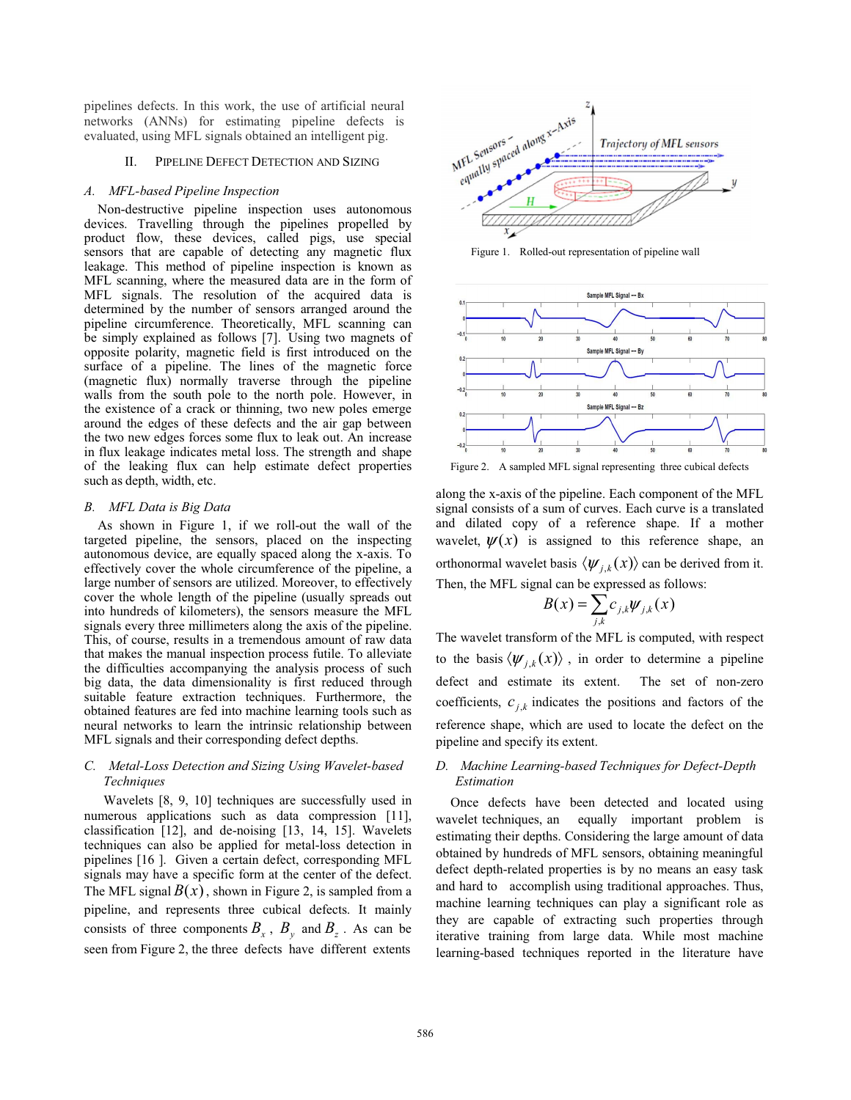pipelines defects. In this work, the use of artificial neural networks (ANNs) for estimating pipeline defects is evaluated, using MFL signals obtained an intelligent pig.

### II. PIPELINE DEFECT DETECTION AND SIZING

#### *A. MFL-based Pipeline Inspection*

Non-destructive pipeline inspection uses autonomous devices. Travelling through the pipelines propelled by product flow, these devices, called pigs, use special sensors that are capable of detecting any magnetic flux leakage. This method of pipeline inspection is known as MFL scanning, where the measured data are in the form of MFL signals. The resolution of the acquired data is determined by the number of sensors arranged around the pipeline circumference. Theoretically, MFL scanning can be simply explained as follows [7]. Using two magnets of opposite polarity, magnetic field is first introduced on the surface of a pipeline. The lines of the magnetic force (magnetic flux) normally traverse through the pipeline walls from the south pole to the north pole. However, in the existence of a crack or thinning, two new poles emerge around the edges of these defects and the air gap between the two new edges forces some flux to leak out. An increase in flux leakage indicates metal loss. The strength and shape of the leaking flux can help estimate defect properties such as depth, width, etc.

### *B. MFL Data is Big Data*

As shown in Figure 1, if we roll-out the wall of the targeted pipeline, the sensors, placed on the inspecting autonomous device, are equally spaced along the x-axis. To effectively cover the whole circumference of the pipeline, a large number of sensors are utilized. Moreover, to effectively cover the whole length of the pipeline (usually spreads out into hundreds of kilometers), the sensors measure the MFL signals every three millimeters along the axis of the pipeline. This, of course, results in a tremendous amount of raw data that makes the manual inspection process futile. To alleviate the difficulties accompanying the analysis process of such big data, the data dimensionality is first reduced through suitable feature extraction techniques. Furthermore, the obtained features are fed into machine learning tools such as neural networks to learn the intrinsic relationship between MFL signals and their corresponding defect depths.

# *C. Metal-Loss Detection and Sizing Using Wavelet-based Techniques*

Wavelets [8, 9, 10] techniques are successfully used in numerous applications such as data compression [11], classification [12], and de-noising [13, 14, 15]. Wavelets techniques can also be applied for metal-loss detection in pipelines [16 ]. Given a certain defect, corresponding MFL signals may have a specific form at the center of the defect. The MFL signal  $B(x)$ , shown in Figure 2, is sampled from a pipeline, and represents three cubical defects. It mainly consists of three components  $B_x$ ,  $B_y$  and  $B_z$ . As can be seen from Figure 2, the three defects have different extents



Figure 1. Rolled-out representation of pipeline wall



Figure 2. A sampled MFL signal representing three cubical defects

along the x-axis of the pipeline. Each component of the MFL signal consists of a sum of curves. Each curve is a translated and dilated copy of a reference shape. If a mother wavelet,  $\psi(x)$  is assigned to this reference shape, an orthonormal wavelet basis  $\langle \psi_{j,k}(x) \rangle$  can be derived from it. Then, the MFL signal can be expressed as follows:

$$
B(x) = \sum_{j,k} c_{j,k} \psi_{j,k}(x)
$$

The wavelet transform of the MFL is computed, with respect to the basis  $\langle \psi_{j,k}(x) \rangle$ , in order to determine a pipeline defect and estimate its extent. The set of non-zero coefficients,  $c_{i,k}$  indicates the positions and factors of the reference shape, which are used to locate the defect on the pipeline and specify its extent.

## *D. Machine Learning-based Techniques for Defect-Depth Estimation*

Once defects have been detected and located using wavelet techniques, an equally important problem is estimating their depths. Considering the large amount of data obtained by hundreds of MFL sensors, obtaining meaningful defect depth-related properties is by no means an easy task and hard to accomplish using traditional approaches. Thus, machine learning techniques can play a significant role as they are capable of extracting such properties through iterative training from large data. While most machine learning-based techniques reported in the literature have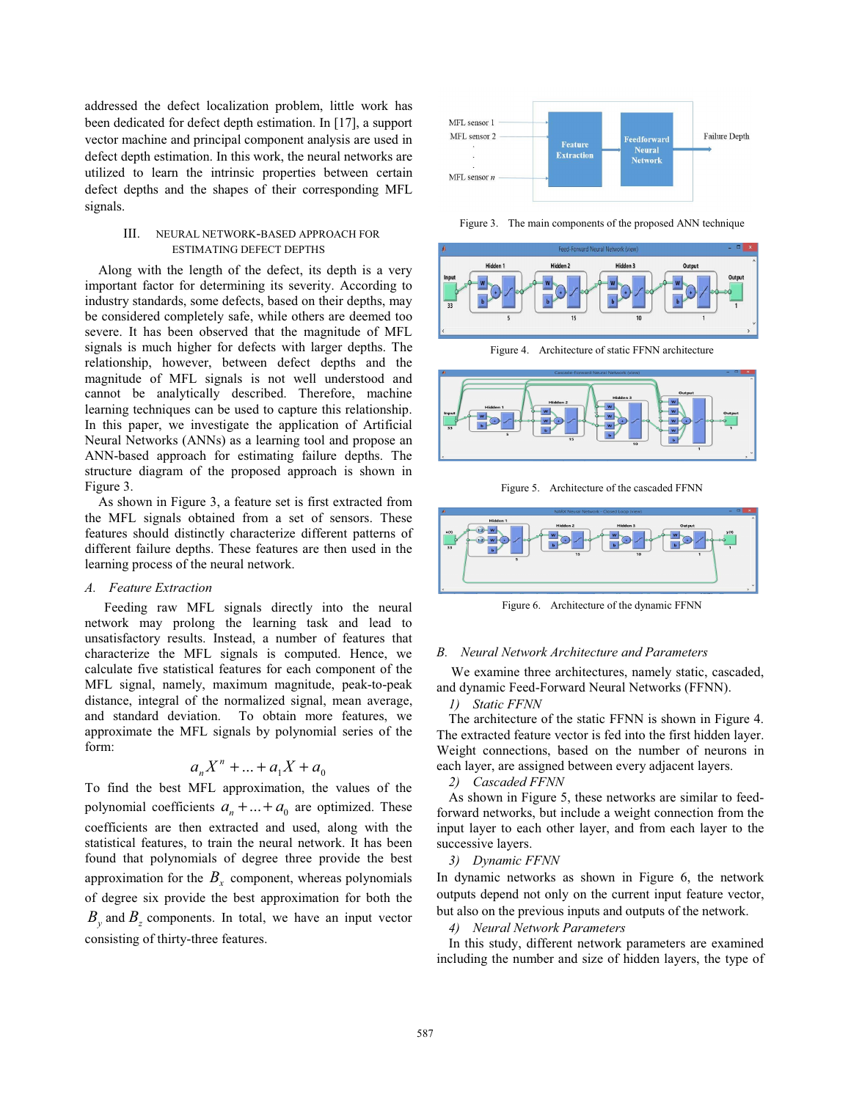addressed the defect localization problem, little work has been dedicated for defect depth estimation. In [17], a support vector machine and principal component analysis are used in defect depth estimation. In this work, the neural networks are utilized to learn the intrinsic properties between certain defect depths and the shapes of their corresponding MFL signals.

### III. NEURAL NETWORK-BASED APPROACH FOR ESTIMATING DEFECT DEPTHS

Along with the length of the defect, its depth is a very important factor for determining its severity. According to industry standards, some defects, based on their depths, may be considered completely safe, while others are deemed too severe. It has been observed that the magnitude of MFL signals is much higher for defects with larger depths. The relationship, however, between defect depths and the magnitude of MFL signals is not well understood and cannot be analytically described. Therefore, machine learning techniques can be used to capture this relationship. In this paper, we investigate the application of Artificial Neural Networks (ANNs) as a learning tool and propose an ANN-based approach for estimating failure depths. The structure diagram of the proposed approach is shown in Figure 3.

As shown in Figure 3, a feature set is first extracted from the MFL signals obtained from a set of sensors. These features should distinctly characterize different patterns of different failure depths. These features are then used in the learning process of the neural network.

#### *A. Feature Extraction*

Feeding raw MFL signals directly into the neural network may prolong the learning task and lead to unsatisfactory results. Instead, a number of features that characterize the MFL signals is computed. Hence, we calculate five statistical features for each component of the MFL signal, namely, maximum magnitude, peak-to-peak distance, integral of the normalized signal, mean average, and standard deviation. To obtain more features, we approximate the MFL signals by polynomial series of the form:

$$
a_n X^n + \dots + a_1 X + a_0
$$

To find the best MFL approximation, the values of the polynomial coefficients  $a_n + ... + a_0$  are optimized. These coefficients are then extracted and used, along with the statistical features, to train the neural network. It has been found that polynomials of degree three provide the best approximation for the  $B<sub>x</sub>$  component, whereas polynomials of degree six provide the best approximation for both the  $B<sub>v</sub>$  and  $B<sub>z</sub>$  components. In total, we have an input vector consisting of thirty-three features.



Figure 3. The main components of the proposed ANN technique



Figure 4. Architecture of static FFNN architecture



Figure 5. Architecture of the cascaded FFNN



Figure 6. Architecture of the dynamic FFNN

### *B. Neural Network Architecture and Parameters*

We examine three architectures, namely static, cascaded, and dynamic Feed-Forward Neural Networks (FFNN).

### *1) Static FFNN*

The architecture of the static FFNN is shown in Figure 4. The extracted feature vector is fed into the first hidden layer. Weight connections, based on the number of neurons in each layer, are assigned between every adjacent layers.

### *2) Cascaded FFNN*

As shown in Figure 5, these networks are similar to feedforward networks, but include a weight connection from the input layer to each other layer, and from each layer to the successive layers.

#### *3) Dynamic FFNN*

In dynamic networks as shown in Figure 6, the network outputs depend not only on the current input feature vector, but also on the previous inputs and outputs of the network.

### *4) Neural Network Parameters*

In this study, different network parameters are examined including the number and size of hidden layers, the type of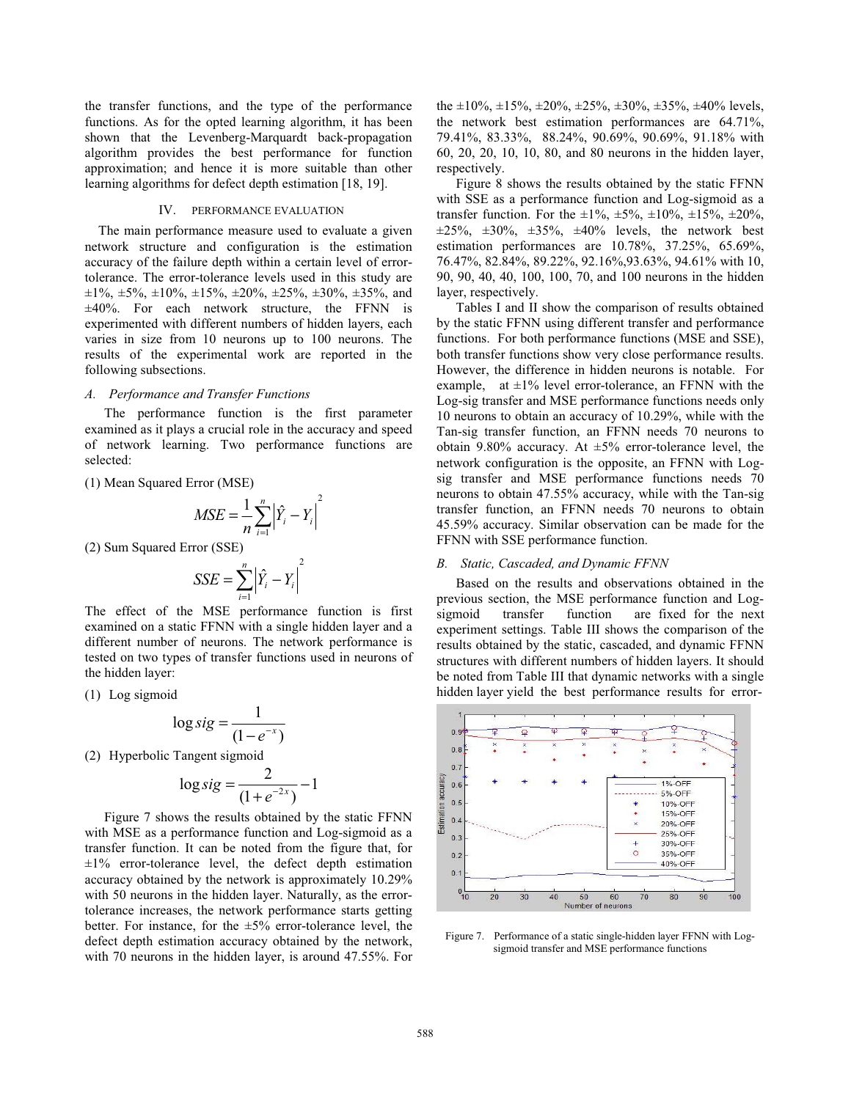the transfer functions, and the type of the performance functions. As for the opted learning algorithm, it has been shown that the Levenberg-Marquardt back-propagation algorithm provides the best performance for function approximation; and hence it is more suitable than other learning algorithms for defect depth estimation [18, 19].

#### IV. PERFORMANCE EVALUATION

The main performance measure used to evaluate a given network structure and configuration is the estimation accuracy of the failure depth within a certain level of errortolerance. The error-tolerance levels used in this study are  $\pm 1\%$ ,  $\pm 5\%$ ,  $\pm 10\%$ ,  $\pm 15\%$ ,  $\pm 20\%$ ,  $\pm 25\%$ ,  $\pm 30\%$ ,  $\pm 35\%$ , and ±40%. For each network structure, the FFNN is experimented with different numbers of hidden layers, each varies in size from 10 neurons up to 100 neurons. The results of the experimental work are reported in the following subsections.

#### *A. Performance and Transfer Functions*

The performance function is the first parameter examined as it plays a crucial role in the accuracy and speed of network learning. Two performance functions are selected:

(1) Mean Squared Error (MSE)

$$
MSE = \frac{1}{n} \sum_{i=1}^{n} \left| \hat{Y}_i - Y_i \right|^2
$$

(2) Sum Squared Error (SSE)

$$
SSE = \sum_{i=1}^{n} \left| \hat{Y}_i - Y_i \right|^2
$$

The effect of the MSE performance function is first examined on a static FFNN with a single hidden layer and a different number of neurons. The network performance is tested on two types of transfer functions used in neurons of the hidden layer:

(1) Log sigmoid

$$
\log sig = \frac{1}{(1 - e^{-x})}
$$

(2) Hyperbolic Tangent sigmoid

$$
\log sig = \frac{2}{(1 + e^{-2x})} - 1
$$

Figure 7 shows the results obtained by the static FFNN with MSE as a performance function and Log-sigmoid as a transfer function. It can be noted from the figure that, for  $\pm 1\%$  error-tolerance level, the defect depth estimation accuracy obtained by the network is approximately 10.29% with 50 neurons in the hidden layer. Naturally, as the errortolerance increases, the network performance starts getting better. For instance, for the  $\pm 5\%$  error-tolerance level, the defect depth estimation accuracy obtained by the network, with 70 neurons in the hidden layer, is around 47.55%. For the  $\pm 10\%$ ,  $\pm 15\%$ ,  $\pm 20\%$ ,  $\pm 25\%$ ,  $\pm 30\%$ ,  $\pm 35\%$ ,  $\pm 40\%$  levels, the network best estimation performances are 64.71%, 79.41%, 83.33%, 88.24%, 90.69%, 90.69%, 91.18% with 60, 20, 20, 10, 10, 80, and 80 neurons in the hidden layer, respectively.

Figure 8 shows the results obtained by the static FFNN with SSE as a performance function and Log-sigmoid as a transfer function. For the  $\pm 1\%$ ,  $\pm 5\%$ ,  $\pm 10\%$ ,  $\pm 15\%$ ,  $\pm 20\%$ ,  $\pm 25\%, \pm 30\%, \pm 35\%, \pm 40\%$  levels, the network best estimation performances are 10.78%, 37.25%, 65.69%, 76.47%, 82.84%, 89.22%, 92.16%,93.63%, 94.61% with 10, 90, 90, 40, 40, 100, 100, 70, and 100 neurons in the hidden layer, respectively.

Tables I and II show the comparison of results obtained by the static FFNN using different transfer and performance functions. For both performance functions (MSE and SSE), both transfer functions show very close performance results. However, the difference in hidden neurons is notable. For example, at  $\pm 1\%$  level error-tolerance, an FFNN with the Log-sig transfer and MSE performance functions needs only 10 neurons to obtain an accuracy of 10.29%, while with the Tan-sig transfer function, an FFNN needs 70 neurons to obtain 9.80% accuracy. At  $\pm 5\%$  error-tolerance level, the network configuration is the opposite, an FFNN with Logsig transfer and MSE performance functions needs 70 neurons to obtain 47.55% accuracy, while with the Tan-sig transfer function, an FFNN needs 70 neurons to obtain 45.59% accuracy. Similar observation can be made for the FFNN with SSE performance function.

#### *B. Static, Cascaded, and Dynamic FFNN*

Based on the results and observations obtained in the previous section, the MSE performance function and Logsigmoid transfer function are fixed for the next experiment settings. Table III shows the comparison of the results obtained by the static, cascaded, and dynamic FFNN structures with different numbers of hidden layers. It should be noted from Table III that dynamic networks with a single hidden layer yield the best performance results for error-



Figure 7. Performance of a static single-hidden layer FFNN with Logsigmoid transfer and MSE performance functions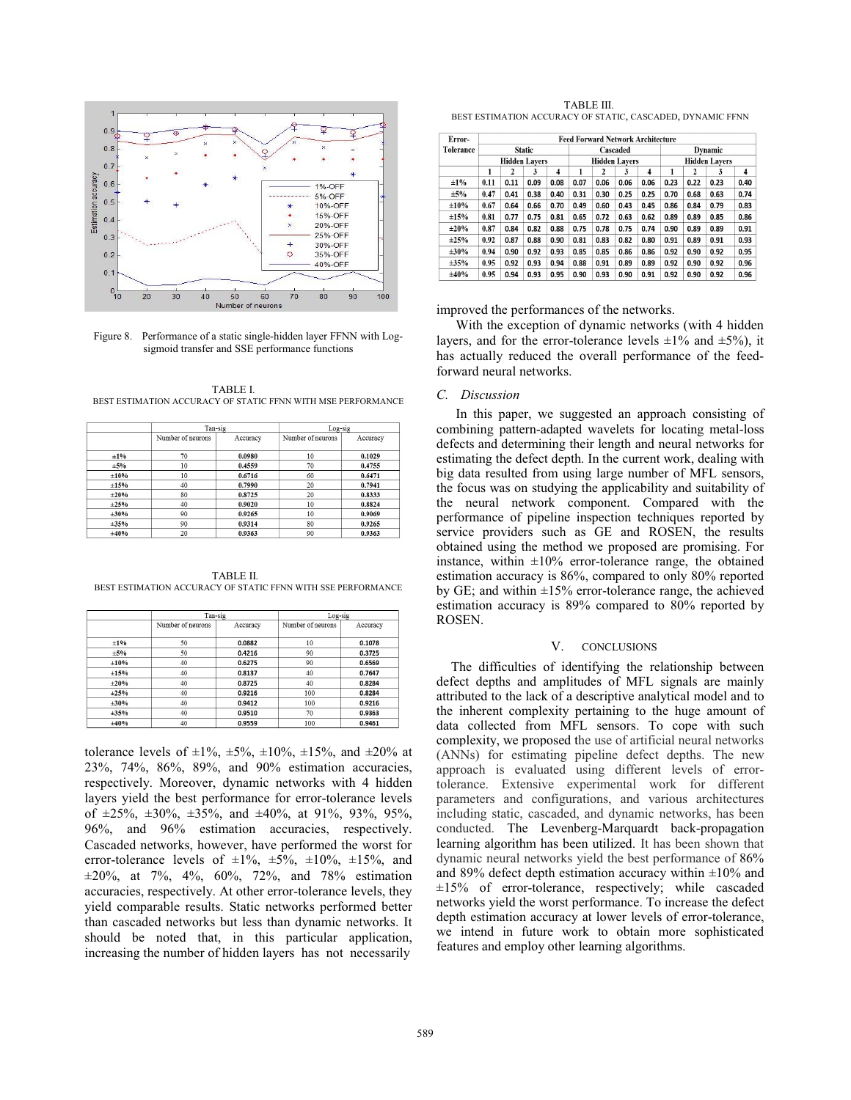

Figure 8. Performance of a static single-hidden layer FFNN with Logsigmoid transfer and SSE performance functions

TABLE I. BEST ESTIMATION ACCURACY OF STATIC FFNN WITH MSE PERFORMANCE

|           | Tan-sig           |          | Log-sig           |          |  |  |
|-----------|-------------------|----------|-------------------|----------|--|--|
|           | Number of neurons | Accuracy | Number of neurons | Accuracy |  |  |
| ±1%       | 70                | 0.0980   | 10                | 0.1029   |  |  |
| $\pm 5\%$ | 10                | 0.4559   | 70                | 0.4755   |  |  |
| ±10%      | 10                | 0.6716   | 60                | 0.6471   |  |  |
| ±15%      | 40                | 0.7990   | 20                | 0.7941   |  |  |
| ±20%      | 80                | 0.8725   | 20                | 0.8333   |  |  |
| ±25%      | 40                | 0.9020   | 10                | 0.8824   |  |  |
| ±30%      | 90                | 0.9265   | 10                | 0.9069   |  |  |
| ±35%      | 90                | 0.9314   | 80                | 0.9265   |  |  |
| ±40%      | 20                | 0.9363   | 90                | 0.9363   |  |  |

TABLE II. BEST ESTIMATION ACCURACY OF STATIC FFNN WITH SSE PERFORMANCE

|      | Tan-sig           |          | Log-sig           |          |  |  |
|------|-------------------|----------|-------------------|----------|--|--|
|      | Number of neurons | Accuracy | Number of neurons | Accuracy |  |  |
| ±1%  | 50                | 0.0882   | 10                | 0.1078   |  |  |
| ±5%  | 50                | 0.4216   | 90                | 0.3725   |  |  |
| ±10% | 40                | 0.6275   | 90                | 0.6569   |  |  |
| ±15% | 40                | 0.8137   | 40                | 0.7647   |  |  |
| ±20% | 40                | 0.8725   | 40                | 0.8284   |  |  |
| ±25% | 40                | 0.9216   | 100               | 0.8284   |  |  |
| ±30% | 40                | 0.9412   | 100               | 0.9216   |  |  |
| ±35% | 40                | 0.9510   | 70                | 0.9363   |  |  |
| ±40% | 40                | 0.9559   | 100               | 0.9461   |  |  |

tolerance levels of  $\pm 1\%$ ,  $\pm 5\%$ ,  $\pm 10\%$ ,  $\pm 15\%$ , and  $\pm 20\%$  at 23%, 74%, 86%, 89%, and 90% estimation accuracies, respectively. Moreover, dynamic networks with 4 hidden layers yield the best performance for error-tolerance levels of  $\pm 25\%$ ,  $\pm 30\%$ ,  $\pm 35\%$ , and  $\pm 40\%$ , at 91%, 93%, 95%, 96%, and 96% estimation accuracies, respectively. Cascaded networks, however, have performed the worst for error-tolerance levels of  $\pm 1\%$ ,  $\pm 5\%$ ,  $\pm 10\%$ ,  $\pm 15\%$ , and  $\pm 20\%$ , at 7%, 4%, 60%, 72%, and 78% estimation accuracies, respectively. At other error-tolerance levels, they yield comparable results. Static networks performed better than cascaded networks but less than dynamic networks. It should be noted that, in this particular application, increasing the number of hidden layers has not necessarily

TABLE III. BEST ESTIMATION ACCURACY OF STATIC, CASCADED, DYNAMIC FFNN

| Error-     | <b>Feed Forward Network Architecture</b> |      |      |                      |      |      |                      |      |      |      |      |      |
|------------|------------------------------------------|------|------|----------------------|------|------|----------------------|------|------|------|------|------|
| Tolerance  | <b>Static</b>                            |      |      | Cascaded             |      |      | Dynamic              |      |      |      |      |      |
|            | <b>Hidden Lavers</b>                     |      |      | <b>Hidden Lavers</b> |      |      | <b>Hidden Lavers</b> |      |      |      |      |      |
|            |                                          | 2    | 3    | 4                    |      | 2    | 3                    | 4    |      | 2    | 3    | 4    |
| ±1%        | 0.11                                     | 0.11 | 0.09 | 0.08                 | 0.07 | 0.06 | 0.06                 | 0.06 | 0.23 | 0.22 | 0.23 | 0.40 |
| $\pm 5\%$  | 0.47                                     | 0.41 | 0.38 | 0.40                 | 0.31 | 0.30 | 0.25                 | 0.25 | 0.70 | 0.68 | 0.63 | 0.74 |
| ±10%       | 0.67                                     | 0.64 | 0.66 | 0.70                 | 0.49 | 0.60 | 0.43                 | 0.45 | 0.86 | 0.84 | 0.79 | 0.83 |
| ±15%       | 0.81                                     | 0.77 | 0.75 | 0.81                 | 0.65 | 0.72 | 0.63                 | 0.62 | 0.89 | 0.89 | 0.85 | 0.86 |
| $\pm 20\%$ | 0.87                                     | 0.84 | 0.82 | 0.88                 | 0.75 | 0.78 | 0.75                 | 0.74 | 0.90 | 0.89 | 0.89 | 0.91 |
| ±25%       | 0.92                                     | 0.87 | 0.88 | 0.90                 | 0.81 | 0.83 | 0.82                 | 0.80 | 0.91 | 0.89 | 0.91 | 0.93 |
| ±30%       | 0.94                                     | 0.90 | 0.92 | 0.93                 | 0.85 | 0.85 | 0.86                 | 0.86 | 0.92 | 0.90 | 0.92 | 0.95 |
| ±35%       | 0.95                                     | 0.92 | 0.93 | 0.94                 | 0.88 | 0.91 | 0.89                 | 0.89 | 0.92 | 0.90 | 0.92 | 0.96 |
| ±40%       | 0.95                                     | 0.94 | 0.93 | 0.95                 | 0.90 | 0.93 | 0.90                 | 0.91 | 0.92 | 0.90 | 0.92 | 0.96 |

improved the performances of the networks.

With the exception of dynamic networks (with 4 hidden layers, and for the error-tolerance levels  $\pm 1\%$  and  $\pm 5\%$ ), it has actually reduced the overall performance of the feedforward neural networks.

### *C. Discussion*

In this paper, we suggested an approach consisting of combining pattern-adapted wavelets for locating metal-loss defects and determining their length and neural networks for estimating the defect depth. In the current work, dealing with big data resulted from using large number of MFL sensors, the focus was on studying the applicability and suitability of the neural network component. Compared with the performance of pipeline inspection techniques reported by service providers such as GE and ROSEN, the results obtained using the method we proposed are promising. For instance, within  $\pm 10\%$  error-tolerance range, the obtained estimation accuracy is 86%, compared to only 80% reported by GE; and within  $\pm 15\%$  error-tolerance range, the achieved estimation accuracy is 89% compared to 80% reported by ROSEN.

#### V. CONCLUSIONS

The difficulties of identifying the relationship between defect depths and amplitudes of MFL signals are mainly attributed to the lack of a descriptive analytical model and to the inherent complexity pertaining to the huge amount of data collected from MFL sensors. To cope with such complexity, we proposed the use of artificial neural networks (ANNs) for estimating pipeline defect depths. The new approach is evaluated using different levels of errortolerance. Extensive experimental work for different parameters and configurations, and various architectures including static, cascaded, and dynamic networks, has been conducted. The Levenberg-Marquardt back-propagation learning algorithm has been utilized. It has been shown that dynamic neural networks yield the best performance of 86% and 89% defect depth estimation accuracy within  $\pm 10\%$  and ±15% of error-tolerance, respectively; while cascaded networks yield the worst performance. To increase the defect depth estimation accuracy at lower levels of error-tolerance, we intend in future work to obtain more sophisticated features and employ other learning algorithms.